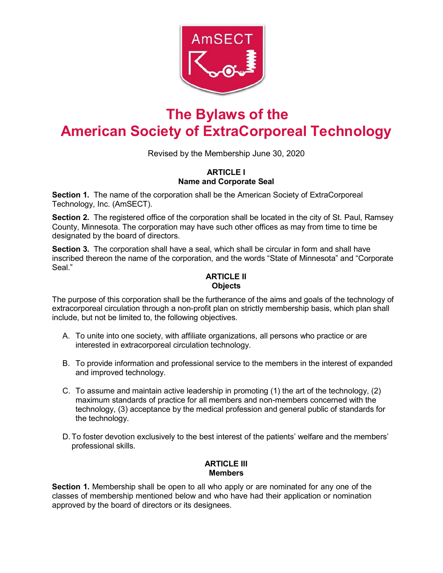

# **The Bylaws of the American Society of ExtraCorporeal Technology**

Revised by the Membership June 30, 2020

# **ARTICLE I Name and Corporate Seal**

**Section 1.** The name of the corporation shall be the American Society of ExtraCorporeal Technology, Inc. (AmSECT).

**Section 2.** The registered office of the corporation shall be located in the city of St. Paul, Ramsey County, Minnesota. The corporation may have such other offices as may from time to time be designated by the board of directors.

**Section 3.** The corporation shall have a seal, which shall be circular in form and shall have inscribed thereon the name of the corporation, and the words "State of Minnesota" and "Corporate Seal."

### **ARTICLE II Objects**

The purpose of this corporation shall be the furtherance of the aims and goals of the technology of extracorporeal circulation through a non-profit plan on strictly membership basis, which plan shall include, but not be limited to, the following objectives.

- A. To unite into one society, with affiliate organizations, all persons who practice or are interested in extracorporeal circulation technology.
- B. To provide information and professional service to the members in the interest of expanded and improved technology.
- C. To assume and maintain active leadership in promoting (1) the art of the technology, (2) maximum standards of practice for all members and non-members concerned with the technology, (3) acceptance by the medical profession and general public of standards for the technology.
- D.To foster devotion exclusively to the best interest of the patients' welfare and the members' professional skills.

# **ARTICLE III Members**

**Section 1.** Membership shall be open to all who apply or are nominated for any one of the classes of membership mentioned below and who have had their application or nomination approved by the board of directors or its designees.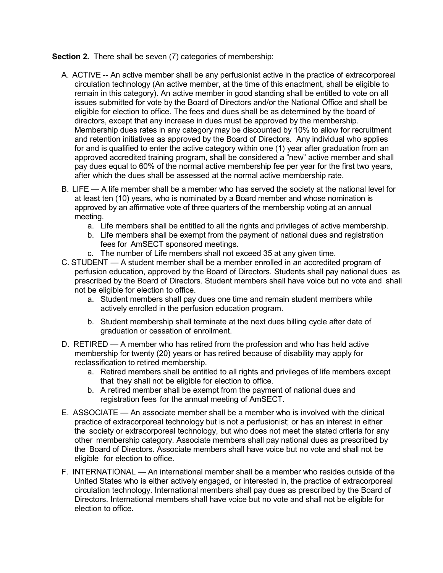## **Section 2.** There shall be seven (7) categories of membership:

- A. ACTIVE -- An active member shall be any perfusionist active in the practice of extracorporeal circulation technology (An active member, at the time of this enactment, shall be eligible to remain in this category). An active member in good standing shall be entitled to vote on all issues submitted for vote by the Board of Directors and/or the National Office and shall be eligible for election to office. The fees and dues shall be as determined by the board of directors, except that any increase in dues must be approved by the membership. Membership dues rates in any category may be discounted by 10% to allow for recruitment and retention initiatives as approved by the Board of Directors. Any individual who applies for and is qualified to enter the active category within one (1) year after graduation from an approved accredited training program, shall be considered a "new" active member and shall pay dues equal to 60% of the normal active membership fee per year for the first two years, after which the dues shall be assessed at the normal active membership rate.
- B. LIFE A life member shall be a member who has served the society at the national level for at least ten (10) years, who is nominated by a Board member and whose nomination is approved by an affirmative vote of three quarters of the membership voting at an annual meeting.
	- a. Life members shall be entitled to all the rights and privileges of active membership.
	- b. Life members shall be exempt from the payment of national dues and registration fees for AmSECT sponsored meetings.
	- c. The number of Life members shall not exceed 35 at any given time.
- C. STUDENT A student member shall be a member enrolled in an accredited program of perfusion education, approved by the Board of Directors. Students shall pay national dues as prescribed by the Board of Directors. Student members shall have voice but no vote and shall not be eligible for election to office.
	- a. Student members shall pay dues one time and remain student members while actively enrolled in the perfusion education program.
	- b. Student membership shall terminate at the next dues billing cycle after date of graduation or cessation of enrollment.
- D. RETIRED A member who has retired from the profession and who has held active membership for twenty (20) years or has retired because of disability may apply for reclassification to retired membership.
	- a. Retired members shall be entitled to all rights and privileges of life members except that they shall not be eligible for election to office.
	- b. A retired member shall be exempt from the payment of national dues and registration fees for the annual meeting of AmSECT.
- E. ASSOCIATE An associate member shall be a member who is involved with the clinical practice of extracorporeal technology but is not a perfusionist; or has an interest in either the society or extracorporeal technology, but who does not meet the stated criteria for any other membership category. Associate members shall pay national dues as prescribed by the Board of Directors. Associate members shall have voice but no vote and shall not be eligible for election to office.
- F. INTERNATIONAL An international member shall be a member who resides outside of the United States who is either actively engaged, or interested in, the practice of extracorporeal circulation technology. International members shall pay dues as prescribed by the Board of Directors. International members shall have voice but no vote and shall not be eligible for election to office.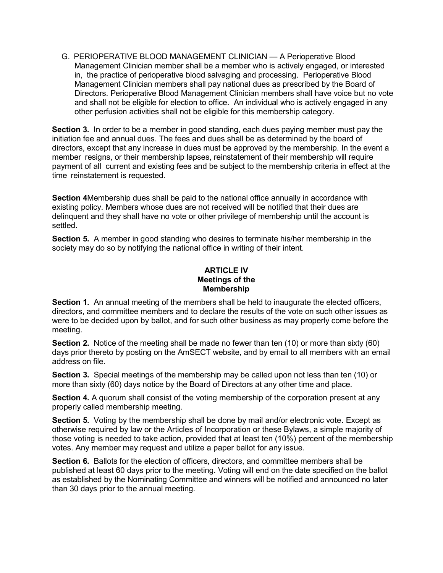G. PERIOPERATIVE BLOOD MANAGEMENT CLINICIAN — A Perioperative Blood Management Clinician member shall be a member who is actively engaged, or interested in, the practice of perioperative blood salvaging and processing. Perioperative Blood Management Clinician members shall pay national dues as prescribed by the Board of Directors. Perioperative Blood Management Clinician members shall have voice but no vote and shall not be eligible for election to office. An individual who is actively engaged in any other perfusion activities shall not be eligible for this membership category.

**Section 3.** In order to be a member in good standing, each dues paying member must pay the initiation fee and annual dues. The fees and dues shall be as determined by the board of directors, except that any increase in dues must be approved by the membership. In the event a member resigns, or their membership lapses, reinstatement of their membership will require payment of all current and existing fees and be subject to the membership criteria in effect at the time reinstatement is requested.

**Section 4**Membership dues shall be paid to the national office annually in accordance with existing policy. Members whose dues are not received will be notified that their dues are delinquent and they shall have no vote or other privilege of membership until the account is settled.

**Section 5.** A member in good standing who desires to terminate his/her membership in the society may do so by notifying the national office in writing of their intent.

# **ARTICLE IV Meetings of the Membership**

**Section 1.** An annual meeting of the members shall be held to inaugurate the elected officers, directors, and committee members and to declare the results of the vote on such other issues as were to be decided upon by ballot, and for such other business as may properly come before the meeting.

**Section 2.** Notice of the meeting shall be made no fewer than ten (10) or more than sixty (60) days prior thereto by posting on the AmSECT website, and by email to all members with an email address on file.

**Section 3.** Special meetings of the membership may be called upon not less than ten (10) or more than sixty (60) days notice by the Board of Directors at any other time and place.

**Section 4.** A quorum shall consist of the voting membership of the corporation present at any properly called membership meeting.

**Section 5.** Voting by the membership shall be done by mail and/or electronic vote. Except as otherwise required by law or the Articles of Incorporation or these Bylaws, a simple majority of those voting is needed to take action, provided that at least ten (10%) percent of the membership votes. Any member may request and utilize a paper ballot for any issue.

**Section 6.** Ballots for the election of officers, directors, and committee members shall be published at least 60 days prior to the meeting. Voting will end on the date specified on the ballot as established by the Nominating Committee and winners will be notified and announced no later than 30 days prior to the annual meeting.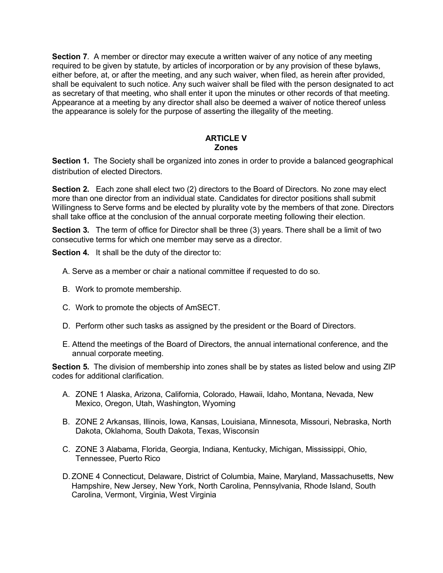**Section 7**. A member or director may execute a written waiver of any notice of any meeting required to be given by statute, by articles of incorporation or by any provision of these bylaws, either before, at, or after the meeting, and any such waiver, when filed, as herein after provided, shall be equivalent to such notice. Any such waiver shall be filed with the person designated to act as secretary of that meeting, who shall enter it upon the minutes or other records of that meeting. Appearance at a meeting by any director shall also be deemed a waiver of notice thereof unless the appearance is solely for the purpose of asserting the illegality of the meeting.

## **ARTICLE V Zones**

**Section 1.** The Society shall be organized into zones in order to provide a balanced geographical distribution of elected Directors.

**Section 2.** Each zone shall elect two (2) directors to the Board of Directors. No zone may elect more than one director from an individual state. Candidates for director positions shall submit Willingness to Serve forms and be elected by plurality vote by the members of that zone. Directors shall take office at the conclusion of the annual corporate meeting following their election.

**Section 3.** The term of office for Director shall be three (3) years. There shall be a limit of two consecutive terms for which one member may serve as a director.

**Section 4.** It shall be the duty of the director to:

- A. Serve as a member or chair a national committee if requested to do so.
- B. Work to promote membership.
- C. Work to promote the objects of AmSECT.
- D. Perform other such tasks as assigned by the president or the Board of Directors.
- E. Attend the meetings of the Board of Directors, the annual international conference, and the annual corporate meeting.

**Section 5.** The division of membership into zones shall be by states as listed below and using ZIP codes for additional clarification.

- A. ZONE 1 Alaska, Arizona, California, Colorado, Hawaii, Idaho, Montana, Nevada, New Mexico, Oregon, Utah, Washington, Wyoming
- B. ZONE 2 Arkansas, Illinois, Iowa, Kansas, Louisiana, Minnesota, Missouri, Nebraska, North Dakota, Oklahoma, South Dakota, Texas, Wisconsin
- C. ZONE 3 Alabama, Florida, Georgia, Indiana, Kentucky, Michigan, Mississippi, Ohio, Tennessee, Puerto Rico
- D.ZONE 4 Connecticut, Delaware, District of Columbia, Maine, Maryland, Massachusetts, New Hampshire, New Jersey, New York, North Carolina, Pennsylvania, Rhode Island, South Carolina, Vermont, Virginia, West Virginia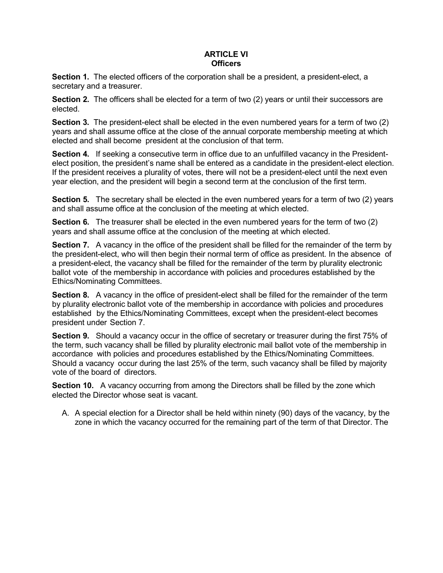## **ARTICLE VI Officers**

**Section 1.** The elected officers of the corporation shall be a president, a president-elect, a secretary and a treasurer.

**Section 2.** The officers shall be elected for a term of two (2) years or until their successors are elected.

**Section 3.** The president-elect shall be elected in the even numbered years for a term of two (2) years and shall assume office at the close of the annual corporate membership meeting at which elected and shall become president at the conclusion of that term.

**Section 4.** If seeking a consecutive term in office due to an unfulfilled vacancy in the Presidentelect position, the president's name shall be entered as a candidate in the president-elect election. If the president receives a plurality of votes, there will not be a president-elect until the next even year election, and the president will begin a second term at the conclusion of the first term.

**Section 5.** The secretary shall be elected in the even numbered years for a term of two (2) years and shall assume office at the conclusion of the meeting at which elected.

**Section 6.** The treasurer shall be elected in the even numbered years for the term of two (2) years and shall assume office at the conclusion of the meeting at which elected.

**Section 7.** A vacancy in the office of the president shall be filled for the remainder of the term by the president-elect, who will then begin their normal term of office as president. In the absence of a president-elect, the vacancy shall be filled for the remainder of the term by plurality electronic ballot vote of the membership in accordance with policies and procedures established by the Ethics/Nominating Committees.

**Section 8.** A vacancy in the office of president-elect shall be filled for the remainder of the term by plurality electronic ballot vote of the membership in accordance with policies and procedures established by the Ethics/Nominating Committees, except when the president-elect becomes president under Section 7.

**Section 9.** Should a vacancy occur in the office of secretary or treasurer during the first 75% of the term, such vacancy shall be filled by plurality electronic mail ballot vote of the membership in accordance with policies and procedures established by the Ethics/Nominating Committees. Should a vacancy occur during the last 25% of the term, such vacancy shall be filled by majority vote of the board of directors.

**Section 10.** A vacancy occurring from among the Directors shall be filled by the zone which elected the Director whose seat is vacant.

A. A special election for a Director shall be held within ninety (90) days of the vacancy, by the zone in which the vacancy occurred for the remaining part of the term of that Director. The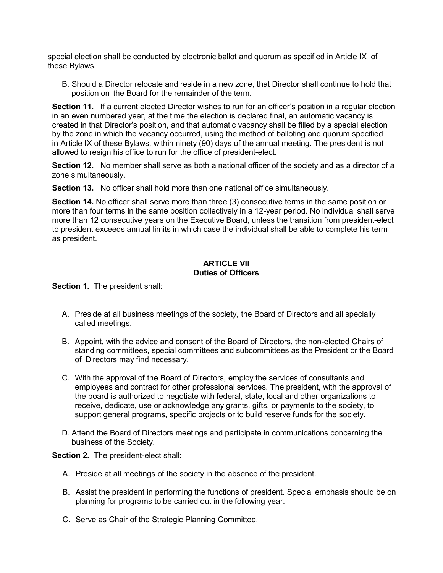special election shall be conducted by electronic ballot and quorum as specified in Article IX of these Bylaws.

B. Should a Director relocate and reside in a new zone, that Director shall continue to hold that position on the Board for the remainder of the term.

**Section 11.** If a current elected Director wishes to run for an officer's position in a regular election in an even numbered year, at the time the election is declared final, an automatic vacancy is created in that Director's position, and that automatic vacancy shall be filled by a special election by the zone in which the vacancy occurred, using the method of balloting and quorum specified in Article IX of these Bylaws, within ninety (90) days of the annual meeting. The president is not allowed to resign his office to run for the office of president-elect.

**Section 12.** No member shall serve as both a national officer of the society and as a director of a zone simultaneously.

**Section 13.** No officer shall hold more than one national office simultaneously.

**Section 14.** No officer shall serve more than three (3) consecutive terms in the same position or more than four terms in the same position collectively in a 12-year period. No individual shall serve more than 12 consecutive years on the Executive Board, unless the transition from president-elect to president exceeds annual limits in which case the individual shall be able to complete his term as president.

#### **ARTICLE VII Duties of Officers**

**Section 1.** The president shall:

- A. Preside at all business meetings of the society, the Board of Directors and all specially called meetings.
- B. Appoint, with the advice and consent of the Board of Directors, the non-elected Chairs of standing committees, special committees and subcommittees as the President or the Board of Directors may find necessary.
- C. With the approval of the Board of Directors, employ the services of consultants and employees and contract for other professional services. The president, with the approval of the board is authorized to negotiate with federal, state, local and other organizations to receive, dedicate, use or acknowledge any grants, gifts, or payments to the society, to support general programs, specific projects or to build reserve funds for the society.
- D. Attend the Board of Directors meetings and participate in communications concerning the business of the Society.

**Section 2.** The president-elect shall:

- A. Preside at all meetings of the society in the absence of the president.
- B. Assist the president in performing the functions of president. Special emphasis should be on planning for programs to be carried out in the following year.
- C. Serve as Chair of the Strategic Planning Committee.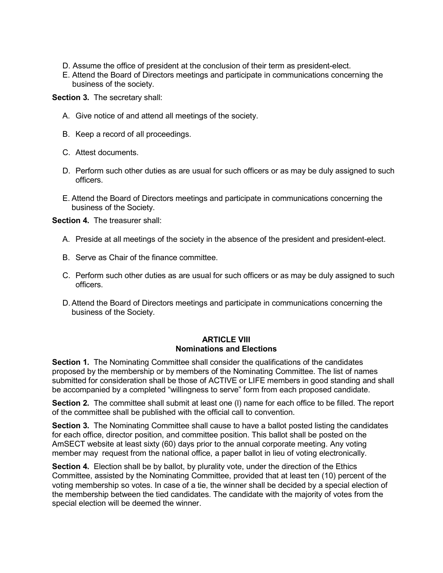- D. Assume the office of president at the conclusion of their term as president-elect.
- E. Attend the Board of Directors meetings and participate in communications concerning the business of the society.

**Section 3.** The secretary shall:

- A. Give notice of and attend all meetings of the society.
- B. Keep a record of all proceedings.
- C. Attest documents.
- D. Perform such other duties as are usual for such officers or as may be duly assigned to such officers.
- E. Attend the Board of Directors meetings and participate in communications concerning the business of the Society.

**Section 4.** The treasurer shall:

- A. Preside at all meetings of the society in the absence of the president and president-elect.
- B. Serve as Chair of the finance committee.
- C. Perform such other duties as are usual for such officers or as may be duly assigned to such officers.
- D.Attend the Board of Directors meetings and participate in communications concerning the business of the Society.

#### **ARTICLE VIII Nominations and Elections**

**Section 1.** The Nominating Committee shall consider the qualifications of the candidates proposed by the membership or by members of the Nominating Committee. The list of names submitted for consideration shall be those of ACTIVE or LIFE members in good standing and shall be accompanied by a completed "willingness to serve" form from each proposed candidate.

**Section 2.** The committee shall submit at least one (l) name for each office to be filled. The report of the committee shall be published with the official call to convention.

**Section 3.** The Nominating Committee shall cause to have a ballot posted listing the candidates for each office, director position, and committee position. This ballot shall be posted on the AmSECT website at least sixty (60) days prior to the annual corporate meeting. Any voting member may request from the national office, a paper ballot in lieu of voting electronically.

**Section 4.** Election shall be by ballot, by plurality vote, under the direction of the Ethics Committee, assisted by the Nominating Committee, provided that at least ten (10) percent of the voting membership so votes. In case of a tie, the winner shall be decided by a special election of the membership between the tied candidates. The candidate with the majority of votes from the special election will be deemed the winner.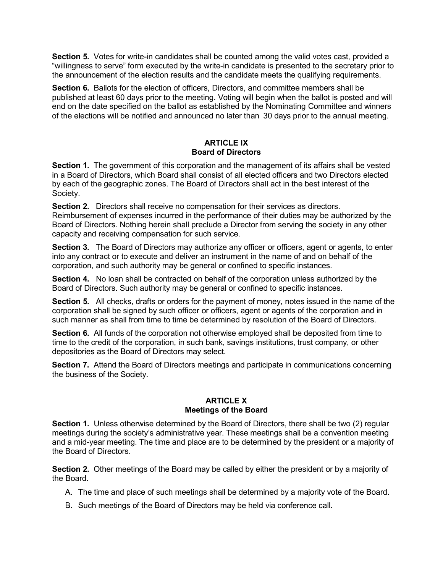**Section 5.** Votes for write-in candidates shall be counted among the valid votes cast, provided a "willingness to serve" form executed by the write-in candidate is presented to the secretary prior to the announcement of the election results and the candidate meets the qualifying requirements.

**Section 6.** Ballots for the election of officers, Directors, and committee members shall be published at least 60 days prior to the meeting. Voting will begin when the ballot is posted and will end on the date specified on the ballot as established by the Nominating Committee and winners of the elections will be notified and announced no later than 30 days prior to the annual meeting.

#### **ARTICLE IX Board of Directors**

**Section 1.** The government of this corporation and the management of its affairs shall be vested in a Board of Directors, which Board shall consist of all elected officers and two Directors elected by each of the geographic zones. The Board of Directors shall act in the best interest of the Society.

**Section 2.** Directors shall receive no compensation for their services as directors. Reimbursement of expenses incurred in the performance of their duties may be authorized by the Board of Directors. Nothing herein shall preclude a Director from serving the society in any other capacity and receiving compensation for such service.

**Section 3.** The Board of Directors may authorize any officer or officers, agent or agents, to enter into any contract or to execute and deliver an instrument in the name of and on behalf of the corporation, and such authority may be general or confined to specific instances.

**Section 4.** No loan shall be contracted on behalf of the corporation unless authorized by the Board of Directors. Such authority may be general or confined to specific instances.

**Section 5.** All checks, drafts or orders for the payment of money, notes issued in the name of the corporation shall be signed by such officer or officers, agent or agents of the corporation and in such manner as shall from time to time be determined by resolution of the Board of Directors.

**Section 6.** All funds of the corporation not otherwise employed shall be deposited from time to time to the credit of the corporation, in such bank, savings institutions, trust company, or other depositories as the Board of Directors may select.

**Section 7.** Attend the Board of Directors meetings and participate in communications concerning the business of the Society.

#### **ARTICLE X Meetings of the Board**

**Section 1.** Unless otherwise determined by the Board of Directors, there shall be two (2) regular meetings during the society's administrative year. These meetings shall be a convention meeting and a mid-year meeting. The time and place are to be determined by the president or a majority of the Board of Directors.

**Section 2.** Other meetings of the Board may be called by either the president or by a majority of the Board.

- A. The time and place of such meetings shall be determined by a majority vote of the Board.
- B. Such meetings of the Board of Directors may be held via conference call.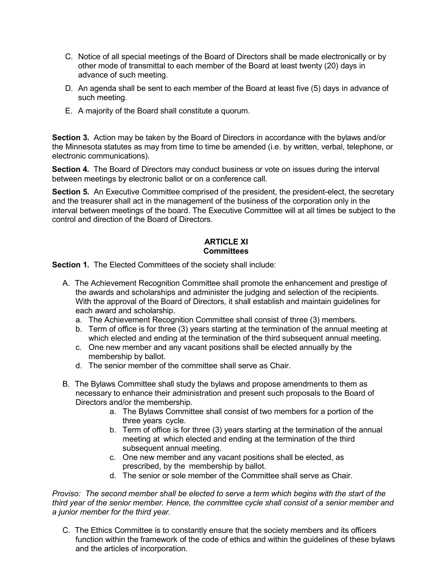- C. Notice of all special meetings of the Board of Directors shall be made electronically or by other mode of transmittal to each member of the Board at least twenty (20) days in advance of such meeting.
- D. An agenda shall be sent to each member of the Board at least five (5) days in advance of such meeting.
- E. A majority of the Board shall constitute a quorum.

**Section 3.** Action may be taken by the Board of Directors in accordance with the bylaws and/or the Minnesota statutes as may from time to time be amended (i.e. by written, verbal, telephone, or electronic communications).

**Section 4.** The Board of Directors may conduct business or vote on issues during the interval between meetings by electronic ballot or on a conference call.

**Section 5.** An Executive Committee comprised of the president, the president-elect, the secretary and the treasurer shall act in the management of the business of the corporation only in the interval between meetings of the board. The Executive Committee will at all times be subject to the control and direction of the Board of Directors.

## **ARTICLE XI Committees**

**Section 1.** The Elected Committees of the society shall include:

- A. The Achievement Recognition Committee shall promote the enhancement and prestige of the awards and scholarships and administer the judging and selection of the recipients. With the approval of the Board of Directors, it shall establish and maintain guidelines for each award and scholarship.
	- a. The Achievement Recognition Committee shall consist of three (3) members.
	- b. Term of office is for three (3) years starting at the termination of the annual meeting at which elected and ending at the termination of the third subsequent annual meeting.
	- c. One new member and any vacant positions shall be elected annually by the membership by ballot.
	- d. The senior member of the committee shall serve as Chair.
- B. The Bylaws Committee shall study the bylaws and propose amendments to them as necessary to enhance their administration and present such proposals to the Board of Directors and/or the membership.
	- a. The Bylaws Committee shall consist of two members for a portion of the three years cycle.
	- b. Term of office is for three (3) years starting at the termination of the annual meeting at which elected and ending at the termination of the third subsequent annual meeting.
	- c. One new member and any vacant positions shall be elected, as prescribed, by the membership by ballot.
	- d. The senior or sole member of the Committee shall serve as Chair.

*Proviso: The second member shall be elected to serve a term which begins with the start of the third year of the senior member. Hence, the committee cycle shall consist of a senior member and a junior member for the third year.*

C. The Ethics Committee is to constantly ensure that the society members and its officers function within the framework of the code of ethics and within the guidelines of these bylaws and the articles of incorporation.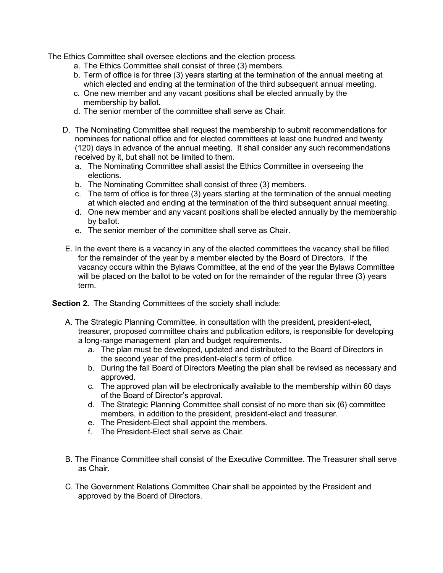The Ethics Committee shall oversee elections and the election process.

- a. The Ethics Committee shall consist of three (3) members.
- b. Term of office is for three (3) years starting at the termination of the annual meeting at which elected and ending at the termination of the third subsequent annual meeting.
- c. One new member and any vacant positions shall be elected annually by the membership by ballot.
- d. The senior member of the committee shall serve as Chair.
- D. The Nominating Committee shall request the membership to submit recommendations for nominees for national office and for elected committees at least one hundred and twenty (120) days in advance of the annual meeting. It shall consider any such recommendations received by it, but shall not be limited to them.
	- a. The Nominating Committee shall assist the Ethics Committee in overseeing the elections.
	- b. The Nominating Committee shall consist of three (3) members.
	- c. The term of office is for three (3) years starting at the termination of the annual meeting at which elected and ending at the termination of the third subsequent annual meeting.
	- d. One new member and any vacant positions shall be elected annually by the membership by ballot.
	- e. The senior member of the committee shall serve as Chair.
- E. In the event there is a vacancy in any of the elected committees the vacancy shall be filled for the remainder of the year by a member elected by the Board of Directors. If the vacancy occurs within the Bylaws Committee, at the end of the year the Bylaws Committee will be placed on the ballot to be voted on for the remainder of the regular three (3) years term.

**Section 2.** The Standing Committees of the society shall include:

- A. The Strategic Planning Committee, in consultation with the president, president-elect, treasurer, proposed committee chairs and publication editors, is responsible for developing a long-range management plan and budget requirements.
	- a. The plan must be developed, updated and distributed to the Board of Directors in the second year of the president-elect's term of office.
	- b. During the fall Board of Directors Meeting the plan shall be revised as necessary and approved.
	- c. The approved plan will be electronically available to the membership within 60 days of the Board of Director's approval.
	- d. The Strategic Planning Committee shall consist of no more than six (6) committee members, in addition to the president, president-elect and treasurer.
	- e. The President-Elect shall appoint the members.
	- f. The President-Elect shall serve as Chair.
- B. The Finance Committee shall consist of the Executive Committee. The Treasurer shall serve as Chair.
- C. The Government Relations Committee Chair shall be appointed by the President and approved by the Board of Directors.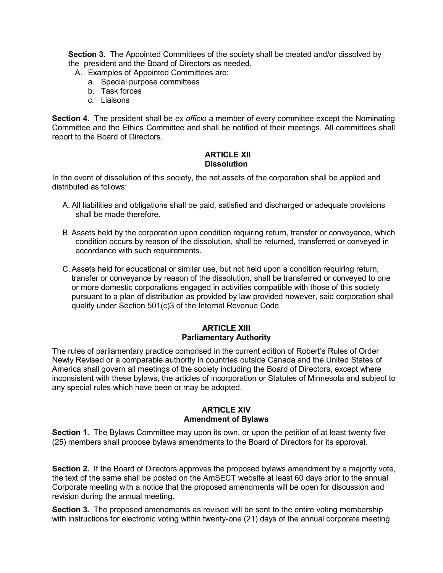**Section 3.** The Appointed Committees of the society shall be created and/or dissolved by the president and the Board of Directors as needed.

- A. Examples of Appointed Committees are:
	- a. Special purpose committees
	- b. Task forces
	- c. Liaisons

**Section 4.** The president shall be *ex officio* a member of every committee except the Nominating Committee and the Ethics Committee and shall be notified of their meetings. All committees shall report to the Board of Directors.

#### **ARTICLE XII Dissolution**

In the event of dissolution of this society, the net assets of the corporation shall be applied and distributed as follows:

- A. All liabilities and obligations shall be paid, satisfied and discharged or adequate provisions shall be made therefore.
- B. Assets held by the corporation upon condition requiring return, transfer or conveyance, which condition occurs by reason of the dissolution, shall be returned, transferred or conveyed in accordance with such requirements.
- C.Assets held for educational or similar use, but not held upon a condition requiring return, transfer or conveyance by reason of the dissolution, shall be transferred or conveyed to one or more domestic corporations engaged in activities compatible with those of this society pursuant to a plan of distribution as provided by law provided however, said corporation shall qualify under Section 501(c)3 of the Internal Revenue Code.

## **ARTICLE XIII Parliamentary Authority**

The rules of parliamentary practice comprised in the current edition of Robert's Rules of Order Newly Revised or a comparable authority in countries outside Canada and the United States of America shall govern all meetings of the society including the Board of Directors, except where inconsistent with these bylaws, the articles of incorporation or Statutes of Minnesota and subject to any special rules which have been or may be adopted.

#### **ARTICLE XIV Amendment of Bylaws**

**Section 1.** The Bylaws Committee may upon its own, or upon the petition of at least twenty five (25) members shall propose bylaws amendments to the Board of Directors for its approval.

**Section 2.** If the Board of Directors approves the proposed bylaws amendment by a majority vote, the text of the same shall be posted on the AmSECT website at least 60 days prior to the annual Corporate meeting with a notice that the proposed amendments will be open for discussion and revision during the annual meeting.

**Section 3.** The proposed amendments as revised will be sent to the entire voting membership with instructions for electronic voting within twenty-one (21) days of the annual corporate meeting